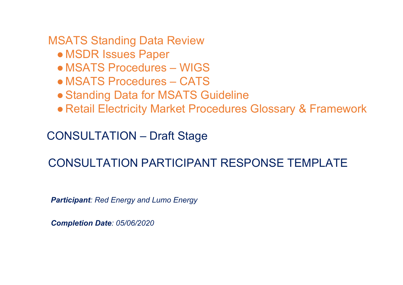MSATS Standing Data Review

- MSDR Issues Paper
- MSATS Procedures WIGS
- MSATS Procedures CATS
- Standing Data for MSATS Guideline
- Retail Electricity Market Procedures Glossary & Framework

CONSULTATION – Draft Stage

# CONSULTATION PARTICIPANT RESPONSE TEMPLATE

*Participant: Red Energy and Lumo Energy*

*Completion Date: 05/06/2020*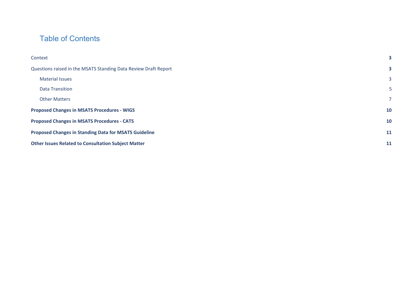## Table of Contents

| Context                                                         | 3              |
|-----------------------------------------------------------------|----------------|
| Questions raised in the MSATS Standing Data Review Draft Report |                |
| <b>Material Issues</b>                                          | 3              |
| <b>Data Transition</b>                                          | 5 <sub>1</sub> |
| <b>Other Matters</b>                                            | 7 <sup>7</sup> |
| <b>Proposed Changes in MSATS Procedures - WIGS</b>              | <b>10</b>      |
| <b>Proposed Changes in MSATS Procedures - CATS</b>              |                |
| <b>Proposed Changes in Standing Data for MSATS Guideline</b>    |                |
| <b>Other Issues Related to Consultation Subject Matter</b>      | <b>11</b>      |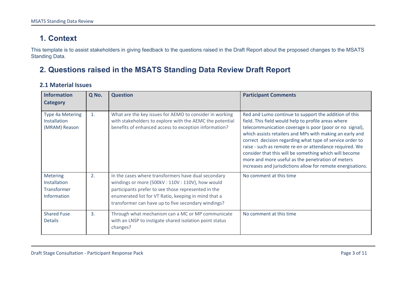# <span id="page-2-0"></span>**1. Context**

This template is to assist stakeholders in giving feedback to the questions raised in the Draft Report about the proposed changes to the MSATS Standing Data.

### <span id="page-2-1"></span>**2. Questions raised in the MSATS Standing Data Review Draft Report**

#### <span id="page-2-2"></span>**2.1 Material Issues**

| <b>Information</b><br><b>Category</b>                         | Q No. | <b>Question</b>                                                                                                                                                                                                                                                              | <b>Participant Comments</b>                                                                                                                                                                                                                                                                                                                                                                                                                                                                                                              |
|---------------------------------------------------------------|-------|------------------------------------------------------------------------------------------------------------------------------------------------------------------------------------------------------------------------------------------------------------------------------|------------------------------------------------------------------------------------------------------------------------------------------------------------------------------------------------------------------------------------------------------------------------------------------------------------------------------------------------------------------------------------------------------------------------------------------------------------------------------------------------------------------------------------------|
| Type 4a Metering<br>Installation<br>(MRAM) Reason             | 1.    | What are the key issues for AEMO to consider in working<br>with stakeholders to explore with the AEMC the potential<br>benefits of enhanced access to exception information?                                                                                                 | Red and Lumo continue to support the addition of this<br>field. This field would help to profile areas where<br>telecommunication coverage is poor (poor or no signal),<br>which assists retailers and MPs with making an early and<br>correct decision regarding what type of service order to<br>raise - such as remote re-en or attendance required. We<br>consider that this will be something which will become<br>more and more useful as the penetration of meters<br>increases and jurisdictions allow for remote energisations. |
| <b>Metering</b><br>Installation<br>Transformer<br>Information | 2.    | In the cases where transformers have dual secondary<br>windings or more (500kV: 110V: 110V), how would<br>participants prefer to see those represented in the<br>enumerated list for VT Ratio, keeping in mind that a<br>transformer can have up to five secondary windings? | No comment at this time                                                                                                                                                                                                                                                                                                                                                                                                                                                                                                                  |
| <b>Shared Fuse</b><br><b>Details</b>                          | 3.    | Through what mechanism can a MC or MP communicate<br>with an LNSP to instigate shared isolation point status<br>changes?                                                                                                                                                     | No comment at this time                                                                                                                                                                                                                                                                                                                                                                                                                                                                                                                  |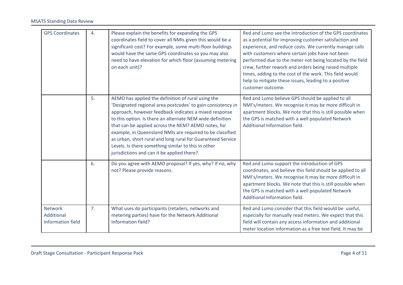| <b>GPS Coordinates</b>                                   | 4. | Please explain the benefits for expanding the GPS<br>coordinates field to cover all NMIs given this would be a<br>significant cost? For example, some multi-floor buildings<br>would have the same GPS coordinates so you may also<br>need to have elevation for which floor (assuming metering<br>on each unit)?                                                                                                                                                                                                               | Red and Lumo see the introduction of the GPS coordinates<br>as a potential for improving customer satisfaction and<br>experience, and reduce costs. We currently manage calls<br>with customers where certain jobs have not been<br>performed due to the meter not being located by the field<br>crew, further rework and orders being raised multiple<br>times, adding to the cost of the work. This field would<br>help to mitigate these issues, leading to a positive<br>customer outcome. |
|----------------------------------------------------------|----|---------------------------------------------------------------------------------------------------------------------------------------------------------------------------------------------------------------------------------------------------------------------------------------------------------------------------------------------------------------------------------------------------------------------------------------------------------------------------------------------------------------------------------|------------------------------------------------------------------------------------------------------------------------------------------------------------------------------------------------------------------------------------------------------------------------------------------------------------------------------------------------------------------------------------------------------------------------------------------------------------------------------------------------|
|                                                          | 5. | AEMO has applied the definition of rural using the<br>'Designated regional area postcodes' to gain consistency in<br>approach, however feedback indicates a mixed response<br>to this option. Is there an alternate NEM wide definition<br>that can be applied across the NEM? AEMO notes, for<br>example, in Queensland NMIs are required to be classified<br>as urban, short rural and long rural for Guaranteed Service<br>Levels. Is there something similar to this in other<br>jurisdictions and can it be applied there? | Red and Lumo believe GPS should be applied to all<br>NMI's/meters. We recognise it may be more difficult in<br>apartment blocks. We note that this is still possible when<br>the GPS is matched with a well populated Network<br>Additional Information field.                                                                                                                                                                                                                                 |
|                                                          | 6. | Do you agree with AEMO proposal? If yes, why? If no, why<br>not? Please provide reasons.                                                                                                                                                                                                                                                                                                                                                                                                                                        | Red and Lumo support the introduction of GPS<br>coordinates, and believe this field should be applied to all<br>NMI's/meters. We recognise it may be more difficult in<br>apartment blocks. We note that this is still possible when<br>the GPS is matched with a well populated Network<br>Additional Information field.                                                                                                                                                                      |
| <b>Network</b><br>Additional<br><b>Information field</b> | 7. | What uses do participants (retailers, networks and<br>metering parties) have for the Network Additional<br>Information field?                                                                                                                                                                                                                                                                                                                                                                                                   | Red and Lumo consider that this field would be useful,<br>especially for manually read meters. We expect that this<br>field will contain any access information and additional<br>meter location information as a free text field. It may be                                                                                                                                                                                                                                                   |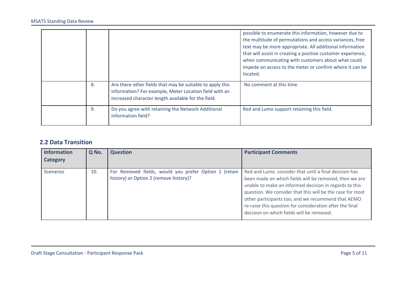|    |                                                                                                                                                                            | possible to enumerate this information, however due to<br>the multitude of permutations and access variances, free<br>text may be more appropriate. All additional information<br>that will assist in creating a positive customer experience,<br>when communicating with customers about what could<br>impede on access to the meter or confirm where it can be<br>located. |
|----|----------------------------------------------------------------------------------------------------------------------------------------------------------------------------|------------------------------------------------------------------------------------------------------------------------------------------------------------------------------------------------------------------------------------------------------------------------------------------------------------------------------------------------------------------------------|
| 8. | Are there other fields that may be suitable to apply this<br>information? For example, Meter Location field with an<br>increased character length available for the field. | No comment at this time                                                                                                                                                                                                                                                                                                                                                      |
| 9. | Do you agree with retaining the Network Additional<br>Information field?                                                                                                   | Red and Lumo support retaining this field.                                                                                                                                                                                                                                                                                                                                   |

#### <span id="page-4-0"></span>**2.2 Data Transition**

| <b>Information</b> | Q No. | <b>Question</b>                                                                                 | <b>Participant Comments</b>                                                                                                                                                                                                                                                                                                                                                                           |
|--------------------|-------|-------------------------------------------------------------------------------------------------|-------------------------------------------------------------------------------------------------------------------------------------------------------------------------------------------------------------------------------------------------------------------------------------------------------------------------------------------------------------------------------------------------------|
| <b>Category</b>    |       |                                                                                                 |                                                                                                                                                                                                                                                                                                                                                                                                       |
| <b>Scenarios</b>   | 10.   | For Removed fields, would you prefer Option 1 (retain<br>history) or Option 2 (remove history)? | Red and Lumo consider that until a final decision has<br>been made on which fields will be removed, then we are<br>unable to make an informed decision in regards to this<br>question. We consider that this will be the case for most<br>other participants too, and we recommend that AEMO<br>re-raise this question for consideration after the final<br>decision on which fields will be removed. |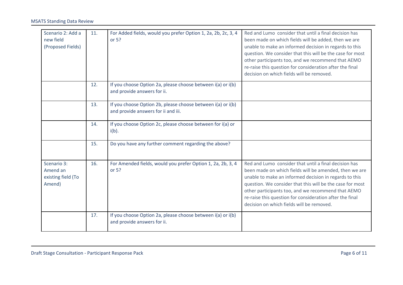| Scenario 2: Add a<br>new field<br>(Proposed Fields)     | 11. | For Added fields, would you prefer Option 1, 2a, 2b, 2c, 3, 4<br>or 5?                             | Red and Lumo consider that until a final decision has<br>been made on which fields will be added, then we are<br>unable to make an informed decision in regards to this<br>question. We consider that this will be the case for most<br>other participants too, and we recommend that AEMO<br>re-raise this question for consideration after the final<br>decision on which fields will be removed.   |
|---------------------------------------------------------|-----|----------------------------------------------------------------------------------------------------|-------------------------------------------------------------------------------------------------------------------------------------------------------------------------------------------------------------------------------------------------------------------------------------------------------------------------------------------------------------------------------------------------------|
|                                                         | 12. | If you choose Option 2a, please choose between i(a) or i(b)<br>and provide answers for ii.         |                                                                                                                                                                                                                                                                                                                                                                                                       |
|                                                         | 13. | If you choose Option 2b, please choose between i(a) or i(b)<br>and provide answers for ii and iii. |                                                                                                                                                                                                                                                                                                                                                                                                       |
|                                                         | 14. | If you choose Option 2c, please choose between for i(a) or<br>$i(b)$ .                             |                                                                                                                                                                                                                                                                                                                                                                                                       |
|                                                         | 15. | Do you have any further comment regarding the above?                                               |                                                                                                                                                                                                                                                                                                                                                                                                       |
| Scenario 3:<br>Amend an<br>existing field (To<br>Amend) | 16. | For Amended fields, would you prefer Option 1, 2a, 2b, 3, 4<br>or $5?$                             | Red and Lumo consider that until a final decision has<br>been made on which fields will be amended, then we are<br>unable to make an informed decision in regards to this<br>question. We consider that this will be the case for most<br>other participants too, and we recommend that AEMO<br>re-raise this question for consideration after the final<br>decision on which fields will be removed. |
|                                                         | 17. | If you choose Option 2a, please choose between i(a) or i(b)<br>and provide answers for ii.         |                                                                                                                                                                                                                                                                                                                                                                                                       |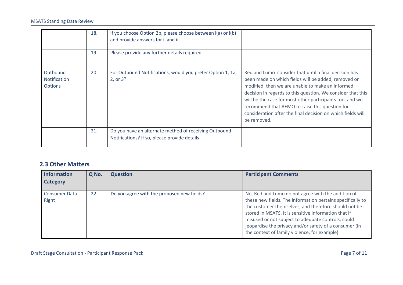|                                                   | 18. | If you choose Option 2b, please choose between $i(a)$ or $i(b)$<br>and provide answers for ii and iii. |                                                                                                                                                                                                                                                                                                                                                                                                                             |
|---------------------------------------------------|-----|--------------------------------------------------------------------------------------------------------|-----------------------------------------------------------------------------------------------------------------------------------------------------------------------------------------------------------------------------------------------------------------------------------------------------------------------------------------------------------------------------------------------------------------------------|
|                                                   | 19. | Please provide any further details required                                                            |                                                                                                                                                                                                                                                                                                                                                                                                                             |
| Outbound<br><b>Notification</b><br><b>Options</b> | 20. | For Outbound Notifications, would you prefer Option 1, 1a,<br>2, or 3?                                 | Red and Lumo consider that until a final decision has<br>been made on which fields will be added, removed or<br>modified, then we are unable to make an informed<br>decision in regards to this question. We consider that this<br>will be the case for most other participants too, and we<br>recommend that AEMO re-raise this question for<br>consideration after the final decision on which fields will<br>be removed. |
|                                                   | 21. | Do you have an alternate method of receiving Outbound<br>Notifications? If so, please provide details  |                                                                                                                                                                                                                                                                                                                                                                                                                             |

#### <span id="page-6-0"></span>**2.3 Other Matters**

| <b>Information</b><br><b>Category</b> | Q No. | <b>Question</b>                            | <b>Participant Comments</b>                                                                                                                                                                                                                                                                                                                                                                       |
|---------------------------------------|-------|--------------------------------------------|---------------------------------------------------------------------------------------------------------------------------------------------------------------------------------------------------------------------------------------------------------------------------------------------------------------------------------------------------------------------------------------------------|
| <b>Consumer Data</b><br>Right         | 22.   | Do you agree with the proposed new fields? | No, Red and Lumo do not agree with the addition of<br>these new fields. The information pertains specifically to<br>the customer themselves, and therefore should not be<br>stored in MSATS. It is sensitive information that if<br>misused or not subject to adequate controls, could<br>jeopardise the privacy and/or safety of a consumer (in<br>the context of family violence, for example). |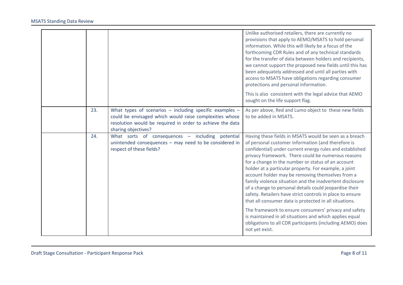|     |                                                                                                                                                                                                            | Unlike authorised retailers, there are currently no<br>provisions that apply to AEMO/MSATS to hold personal<br>information. While this will likely be a focus of the<br>forthcoming CDR Rules and of any technical standards<br>for the transfer of data between holders and recipients,<br>we cannot support the proposed new fields until this has<br>been adequately addressed and until all parties with<br>access to MSATS have obligations regarding consumer<br>protections and personal information.<br>This is also consistent with the legal advice that AEMO<br>sought on the life support flag.                                                                                                                                                                                                                                       |
|-----|------------------------------------------------------------------------------------------------------------------------------------------------------------------------------------------------------------|---------------------------------------------------------------------------------------------------------------------------------------------------------------------------------------------------------------------------------------------------------------------------------------------------------------------------------------------------------------------------------------------------------------------------------------------------------------------------------------------------------------------------------------------------------------------------------------------------------------------------------------------------------------------------------------------------------------------------------------------------------------------------------------------------------------------------------------------------|
| 23. | What types of scenarios $-$ including specific examples $-$<br>could be envisaged which would raise complexities whose<br>resolution would be required in order to achieve the data<br>sharing objectives? | As per above, Red and Lumo object to these new fields<br>to be added in MSATS.                                                                                                                                                                                                                                                                                                                                                                                                                                                                                                                                                                                                                                                                                                                                                                    |
| 24. | What sorts of consequences - including potential<br>unintended consequences - may need to be considered in<br>respect of these fields?                                                                     | Having these fields in MSATS would be seen as a breach<br>of personal customer information (and therefore is<br>confidential) under current energy rules and established<br>privacy framework. There could be numerous reasons<br>for a change in the number or status of an account<br>holder at a particular property. For example, a joint<br>account holder may be removing themselves from a<br>family violence situation and the inadvertent disclosure<br>of a change to personal details could jeopardise their<br>safety. Retailers have strict controls in place to ensure<br>that all consumer data is protected in all situations.<br>The framework to ensure consumers' privacy and safety<br>is maintained in all situations and which applies equal<br>obligations to all CDR participants (including AEMO) does<br>not yet exist. |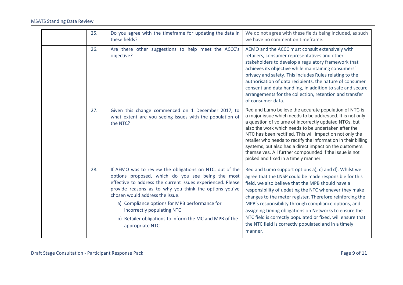| 25. | Do you agree with the timeframe for updating the data in<br>these fields?                                                                                                                                                                                                                                                                                                                                                              | We do not agree with these fields being included, as such<br>we have no comment on timeframe.                                                                                                                                                                                                                                                                                                                                                                                                                                                 |
|-----|----------------------------------------------------------------------------------------------------------------------------------------------------------------------------------------------------------------------------------------------------------------------------------------------------------------------------------------------------------------------------------------------------------------------------------------|-----------------------------------------------------------------------------------------------------------------------------------------------------------------------------------------------------------------------------------------------------------------------------------------------------------------------------------------------------------------------------------------------------------------------------------------------------------------------------------------------------------------------------------------------|
| 26. | Are there other suggestions to help meet the ACCC's<br>objective?                                                                                                                                                                                                                                                                                                                                                                      | AEMO and the ACCC must consult extensively with<br>retailers, consumer representatives and other<br>stakeholders to develop a regulatory framework that<br>achieves its objective while maintaining consumers'<br>privacy and safety. This includes Rules relating to the<br>authorisation of data recipients, the nature of consumer<br>consent and data handling, in addition to safe and secure<br>arrangements for the collection, retention and transfer<br>of consumer data.                                                            |
| 27. | Given this change commenced on 1 December 2017, to<br>what extent are you seeing issues with the population of<br>the NTC?                                                                                                                                                                                                                                                                                                             | Red and Lumo believe the accurate population of NTC is<br>a major issue which needs to be addressed. It is not only<br>a question of volume of incorrectly updated NTCs, but<br>also the work which needs to be undertaken after the<br>NTC has been rectified. This will impact on not only the<br>retailer who needs to rectify the information in their billing<br>systems, but also has a direct impact on the customers<br>themselves. All further compounded if the issue is not<br>picked and fixed in a timely manner.                |
| 28. | If AEMO was to review the obligations on NTC, out of the<br>options proposed, which do you see being the most<br>effective to address the current issues experienced. Please<br>provide reasons as to why you think the options you've<br>chosen would address the issue.<br>a) Compliance options for MPB performance for<br>incorrectly populating NTC<br>b) Retailer obligations to inform the MC and MPB of the<br>appropriate NTC | Red and Lumo support options a), c) and d). Whilst we<br>agree that the LNSP could be made responsible for this<br>field, we also believe that the MPB should have a<br>responsibility of updating the NTC whenever they make<br>changes to the meter register. Therefore reinforcing the<br>MPB's responsibility through compliance options, and<br>assigning timing obligations on Networks to ensure the<br>NTC field is correctly populated or fixed, will ensure that<br>the NTC field is correctly populated and in a timely<br>manner. |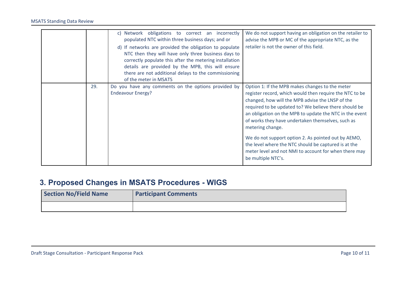|     | c) Network obligations to correct an incorrectly<br>populated NTC within three business days; and or<br>d) If networks are provided the obligation to populate<br>NTC then they will have only three business days to<br>correctly populate this after the metering installation<br>details are provided by the MPB, this will ensure<br>there are not additional delays to the commissioning<br>of the meter in MSATS | We do not support having an obligation on the retailer to<br>advise the MPB or MC of the appropriate NTC, as the<br>retailer is not the owner of this field.                                                                                                                                                                                                                                                                                                                                                                                              |
|-----|------------------------------------------------------------------------------------------------------------------------------------------------------------------------------------------------------------------------------------------------------------------------------------------------------------------------------------------------------------------------------------------------------------------------|-----------------------------------------------------------------------------------------------------------------------------------------------------------------------------------------------------------------------------------------------------------------------------------------------------------------------------------------------------------------------------------------------------------------------------------------------------------------------------------------------------------------------------------------------------------|
| 29. | Do you have any comments on the options provided by<br><b>Endeavour Energy?</b>                                                                                                                                                                                                                                                                                                                                        | Option 1: If the MPB makes changes to the meter<br>register record, which would then require the NTC to be<br>changed, how will the MPB advise the LNSP of the<br>required to be updated to? We believe there should be<br>an obligation on the MPB to update the NTC in the event<br>of works they have undertaken themselves, such as<br>metering change.<br>We do not support option 2. As pointed out by AEMO,<br>the level where the NTC should be captured is at the<br>meter level and not NMI to account for when there may<br>be multiple NTC's. |

# <span id="page-9-0"></span>**3. Proposed Changes in MSATS Procedures - WIGS**

| <b>Section No/Field Name</b> | <b>Participant Comments</b> |
|------------------------------|-----------------------------|
|                              |                             |